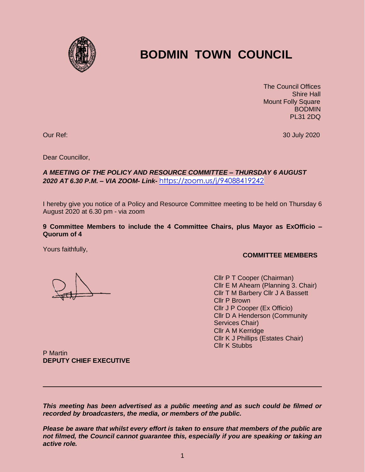

## **BODMIN TOWN COUNCIL**

 The Council Offices Shire Hall Mount Folly Square BODMIN PL31 2DQ

Our Ref: 30 July 2020

Dear Councillor,

## *A MEETING OF THE POLICY AND RESOURCE COMMITTEE – THURSDAY 6 AUGUST 2020 AT 6.30 P.M. – VIA ZOOM- Link-* <https://zoom.us/j/94088419242>

I hereby give you notice of a Policy and Resource Committee meeting to be held on Thursday 6 August 2020 at 6.30 pm - via zoom

**9 Committee Members to include the 4 Committee Chairs, plus Mayor as ExOfficio – Quorum of 4**

Yours faithfully,

## **COMMITTEE MEMBERS**

Cllr P T Cooper (Chairman) Cllr E M Ahearn (Planning 3. Chair) Cllr T M Barbery Cllr J A Bassett Cllr P Brown Cllr J P Cooper (Ex Officio) Cllr D A Henderson (Community Services Chair) Cllr A M Kerridge Cllr K J Phillips (Estates Chair) Cllr K Stubbs

P Martin **DEPUTY CHIEF EXECUTIVE**

*This meeting has been advertised as a public meeting and as such could be filmed or recorded by broadcasters, the media, or members of the public.*

*Please be aware that whilst every effort is taken to ensure that members of the public are not filmed, the Council cannot guarantee this, especially if you are speaking or taking an active role.*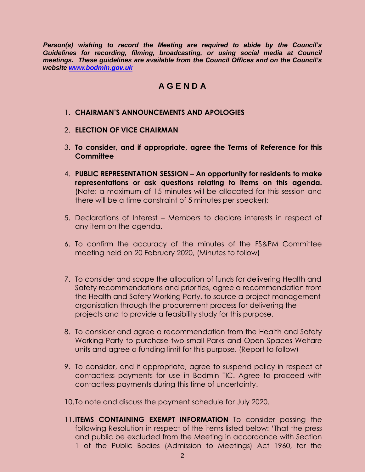*Person(s) wishing to record the Meeting are required to abide by the Council's Guidelines for recording, filming, broadcasting, or using social media at Council meetings. These guidelines are available from the Council Offices and on the Council's website [www.bodmin.gov.uk](http://www.bodmin.gov.uk/)*

## **A G E N D A**

- 1. **CHAIRMAN'S ANNOUNCEMENTS AND APOLOGIES**
- 2. **ELECTION OF VICE CHAIRMAN**
- 3. **To consider, and if appropriate, agree the Terms of Reference for this Committee**
- 4. **PUBLIC REPRESENTATION SESSION – An opportunity for residents to make representations or ask questions relating to items on this agenda.**  (Note: a maximum of 15 minutes will be allocated for this session and there will be a time constraint of 5 minutes per speaker);
- 5. Declarations of Interest Members to declare interests in respect of any item on the agenda.
- 6. To confirm the accuracy of the minutes of the FS&PM Committee meeting held on 20 February 2020, (Minutes to follow)
- 7. To consider and scope the allocation of funds for delivering Health and Safety recommendations and priorities, agree a recommendation from the Health and Safety Working Party, to source a project management organisation through the procurement process for delivering the projects and to provide a feasibility study for this purpose.
- 8. To consider and agree a recommendation from the Health and Safety Working Party to purchase two small Parks and Open Spaces Welfare units and agree a funding limit for this purpose. (Report to follow)
- 9. To consider, and if appropriate, agree to suspend policy in respect of contactless payments for use in Bodmin TIC. Agree to proceed with contactless payments during this time of uncertainty.
- 10.To note and discuss the payment schedule for July 2020.
- 11.**ITEMS CONTAINING EXEMPT INFORMATION** To consider passing the following Resolution in respect of the items listed below: 'That the press and public be excluded from the Meeting in accordance with Section 1 of the Public Bodies (Admission to Meetings) Act 1960, for the